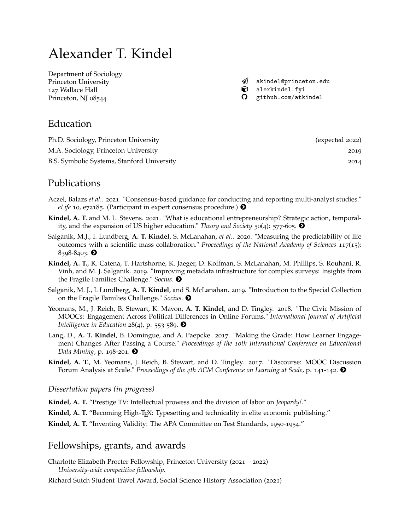# Alexander T. Kindel

[Department of Sociology](https://sociology.princeton.edu/) Princeton University 127 Wallace Hall Princeton, NJ 08544

 $\mathcal A$  [akindel@princeton.edu](mailto:akindel@princeton.edu)  $\bullet$  [alexkindel.fyi](http://alexkindel.fyi) [github.com/atkindel](https://github.com/atkindel)

## Education

| Ph.D. Sociology, Princeton University      | (expected 2022) |
|--------------------------------------------|-----------------|
| M.A. Sociology, Princeton University       | 2019            |
| B.S. Symbolic Systems, Stanford University | 2014            |

# Publications

- Aczel, Balazs *et al.*. 2021. "Consensus-based guidance for conducting and reporting multi-analyst studies." *eLife* 10, e72185. (Participant in expert consensus procedure.)  $\bullet$
- **Kindel, A. T.** and M. L. Stevens. 2021. "What is educational entrepreneurship? Strategic action, temporality, and the expansion of US higher education." *Theory and Society* 50(4): 577-605. [#](http://link.springer.com/article/10.1007/s11186-021-09443-3)
- Salganik, M.J., I. Lundberg, **A. T. Kindel**, S. McLanahan, *et al.*. 2020. "Measuring the predictability of life outcomes with a scientific mass collaboration." *Proceedings of the National Academy of Sciences* 117(15): 8398-8403.  $\bullet$
- **Kindel, A. T.**, K. Catena, T. Hartshorne, K. Jaeger, D. Koffman, S. McLanahan, M. Phillips, S. Rouhani, R. Vinh, and M. J. Salganik. 2019. "Improving metadata infrastructure for complex surveys: Insights from the Fragile Families Challenge." *Socius*. [#](https://journals.sagepub.com/doi/pdf/10.1177/2378023118817378)
- Salganik, M. J., I. Lundberg, **A. T. Kindel**, and S. McLanahan. 2019. "Introduction to the Special Collection on the Fragile Families Challenge." *Socius*. [#](https://journals.sagepub.com/doi/pdf/10.1177/2378023119871580)
- Yeomans, M., J. Reich, B. Stewart, K. Mavon, **A. T. Kindel**, and D. Tingley. 2018. "The Civic Mission of MOOCs: Engagement Across Political Differences in Online Forums." *International Journal of Artificial Intelligence in Education*  $28(4)$ , p. 553-589.  $\bullet$
- Lang, D., **A. T. Kindel**, B. Domingue, and A. Paepcke. 2017. "Making the Grade: How Learner Engagement Changes After Passing a Course." *Proceedings of the 10th International Conference on Educational Data Mining*, p. 198-201.  $\odot$
- **Kindel, A. T.**, M. Yeomans, J. Reich, B. Stewart, and D. Tingley. 2017. "Discourse: MOOC Discussion Forum Analysis at Scale." *Proceedings of the 4th ACM Conference on Learning at Scale*, p. 141-142. [#](http://dl.acm.org/citation.cfm?doid=3051457.3053967)

#### *Dissertation papers (in progress)*

- **Kindel, A. T.** "Prestige TV: Intellectual prowess and the division of labor on *Jeopardy!*."
- Kindel, A. T. "Becoming High-T<sub>E</sub>X: Typesetting and technicality in elite economic publishing."
- **Kindel, A. T.** "Inventing Validity: The APA Committee on Test Standards, 1950-1954."

## Fellowships, grants, and awards

- Charlotte Elizabeth Procter Fellowship, Princeton University (2021 2022) *University-wide competitive fellowship.*
- Richard Sutch Student Travel Award, Social Science History Association (2021)